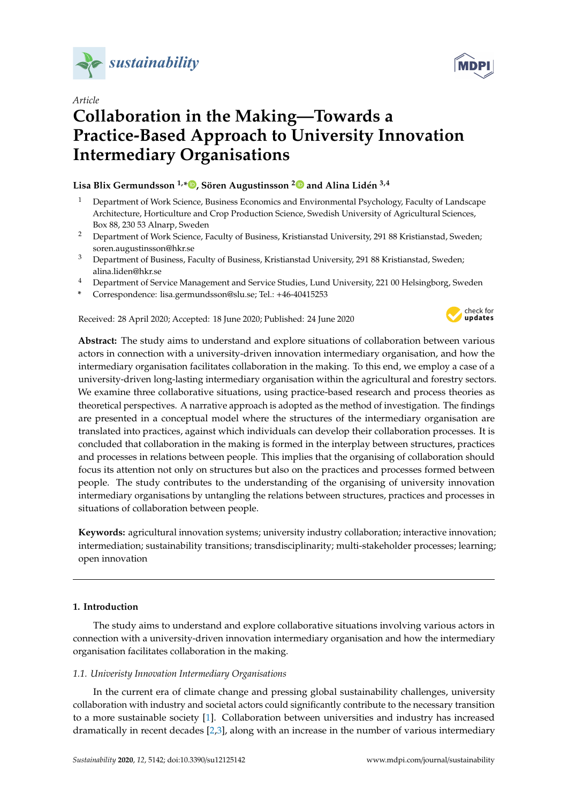



# *Article* **Collaboration in the Making—Towards a Practice-Based Approach to University Innovation Intermediary Organisations**

**Lisa Blix Germundsson 1,\* [,](https://orcid.org/0000-0002-1693-5156) Sören Augustinsson [2](https://orcid.org/0000-0002-0156-388X) and Alina Lidén 3,4**

- <sup>1</sup> Department of Work Science, Business Economics and Environmental Psychology, Faculty of Landscape Architecture, Horticulture and Crop Production Science, Swedish University of Agricultural Sciences, Box 88, 230 53 Alnarp, Sweden
- <sup>2</sup> Department of Work Science, Faculty of Business, Kristianstad University, 291 88 Kristianstad, Sweden; soren.augustinsson@hkr.se
- <sup>3</sup> Department of Business, Faculty of Business, Kristianstad University, 291 88 Kristianstad, Sweden; alina.liden@hkr.se
- <sup>4</sup> Department of Service Management and Service Studies, Lund University, 221 00 Helsingborg, Sweden
- **\*** Correspondence: lisa.germundsson@slu.se; Tel.: +46-40415253

Received: 28 April 2020; Accepted: 18 June 2020; Published: 24 June 2020



**Abstract:** The study aims to understand and explore situations of collaboration between various actors in connection with a university-driven innovation intermediary organisation, and how the intermediary organisation facilitates collaboration in the making. To this end, we employ a case of a university-driven long-lasting intermediary organisation within the agricultural and forestry sectors. We examine three collaborative situations, using practice-based research and process theories as theoretical perspectives. A narrative approach is adopted as the method of investigation. The findings are presented in a conceptual model where the structures of the intermediary organisation are translated into practices, against which individuals can develop their collaboration processes. It is concluded that collaboration in the making is formed in the interplay between structures, practices and processes in relations between people. This implies that the organising of collaboration should focus its attention not only on structures but also on the practices and processes formed between people. The study contributes to the understanding of the organising of university innovation intermediary organisations by untangling the relations between structures, practices and processes in situations of collaboration between people.

**Keywords:** agricultural innovation systems; university industry collaboration; interactive innovation; intermediation; sustainability transitions; transdisciplinarity; multi-stakeholder processes; learning; open innovation

# **1. Introduction**

The study aims to understand and explore collaborative situations involving various actors in connection with a university-driven innovation intermediary organisation and how the intermediary organisation facilitates collaboration in the making.

# *1.1. Univeristy Innovation Intermediary Organisations*

In the current era of climate change and pressing global sustainability challenges, university collaboration with industry and societal actors could significantly contribute to the necessary transition to a more sustainable society [\[1\]](#page-11-0). Collaboration between universities and industry has increased dramatically in recent decades [\[2](#page-11-1)[,3\]](#page-11-2), along with an increase in the number of various intermediary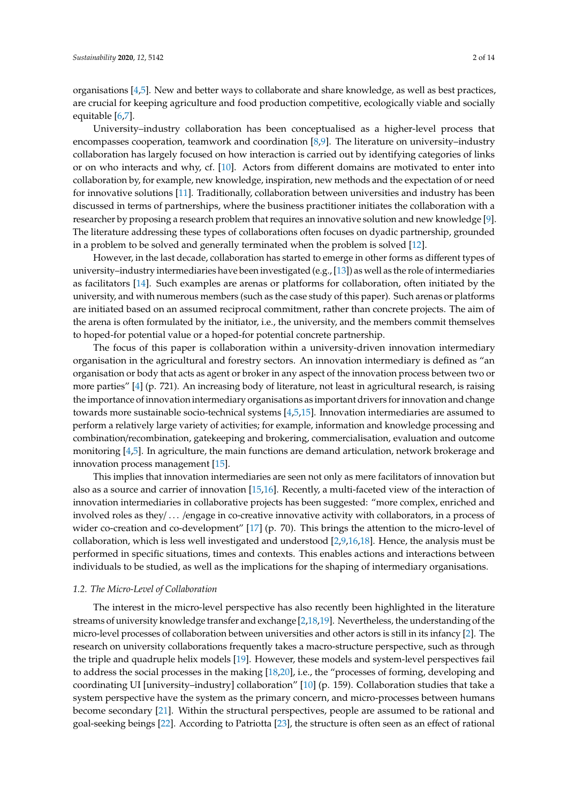organisations [\[4](#page-11-3)[,5\]](#page-11-4). New and better ways to collaborate and share knowledge, as well as best practices, are crucial for keeping agriculture and food production competitive, ecologically viable and socially equitable [\[6](#page-11-5)[,7\]](#page-11-6).

University–industry collaboration has been conceptualised as a higher-level process that encompasses cooperation, teamwork and coordination [\[8](#page-11-7)[,9\]](#page-11-8). The literature on university–industry collaboration has largely focused on how interaction is carried out by identifying categories of links or on who interacts and why, cf. [\[10\]](#page-11-9). Actors from different domains are motivated to enter into collaboration by, for example, new knowledge, inspiration, new methods and the expectation of or need for innovative solutions [\[11\]](#page-11-10). Traditionally, collaboration between universities and industry has been discussed in terms of partnerships, where the business practitioner initiates the collaboration with a researcher by proposing a research problem that requires an innovative solution and new knowledge [\[9\]](#page-11-8). The literature addressing these types of collaborations often focuses on dyadic partnership, grounded in a problem to be solved and generally terminated when the problem is solved [\[12\]](#page-11-11).

However, in the last decade, collaboration has started to emerge in other forms as different types of university–industry intermediaries have been investigated (e.g., [\[13\]](#page-11-12)) as well as the role of intermediaries as facilitators [\[14\]](#page-11-13). Such examples are arenas or platforms for collaboration, often initiated by the university, and with numerous members (such as the case study of this paper). Such arenas or platforms are initiated based on an assumed reciprocal commitment, rather than concrete projects. The aim of the arena is often formulated by the initiator, i.e., the university, and the members commit themselves to hoped-for potential value or a hoped-for potential concrete partnership.

The focus of this paper is collaboration within a university-driven innovation intermediary organisation in the agricultural and forestry sectors. An innovation intermediary is defined as "an organisation or body that acts as agent or broker in any aspect of the innovation process between two or more parties" [\[4\]](#page-11-3) (p. 721). An increasing body of literature, not least in agricultural research, is raising the importance of innovation intermediary organisations as important drivers for innovation and change towards more sustainable socio-technical systems [\[4](#page-11-3)[,5,](#page-11-4)[15\]](#page-11-14). Innovation intermediaries are assumed to perform a relatively large variety of activities; for example, information and knowledge processing and combination/recombination, gatekeeping and brokering, commercialisation, evaluation and outcome monitoring [\[4,](#page-11-3)[5\]](#page-11-4). In agriculture, the main functions are demand articulation, network brokerage and innovation process management [\[15\]](#page-11-14).

This implies that innovation intermediaries are seen not only as mere facilitators of innovation but also as a source and carrier of innovation [\[15,](#page-11-14)[16\]](#page-11-15). Recently, a multi-faceted view of the interaction of innovation intermediaries in collaborative projects has been suggested: "more complex, enriched and involved roles as they/ . . . /engage in co-creative innovative activity with collaborators, in a process of wider co-creation and co-development" [\[17\]](#page-12-0) (p. 70). This brings the attention to the micro-level of collaboration, which is less well investigated and understood [\[2,](#page-11-1)[9,](#page-11-8)[16,](#page-11-15)[18\]](#page-12-1). Hence, the analysis must be performed in specific situations, times and contexts. This enables actions and interactions between individuals to be studied, as well as the implications for the shaping of intermediary organisations.

## *1.2. The Micro-Level of Collaboration*

The interest in the micro-level perspective has also recently been highlighted in the literature streams of university knowledge transfer and exchange [\[2](#page-11-1)[,18](#page-12-1)[,19\]](#page-12-2). Nevertheless, the understanding of the micro-level processes of collaboration between universities and other actors is still in its infancy [\[2\]](#page-11-1). The research on university collaborations frequently takes a macro-structure perspective, such as through the triple and quadruple helix models [\[19\]](#page-12-2). However, these models and system-level perspectives fail to address the social processes in the making [\[18](#page-12-1)[,20\]](#page-12-3), i.e., the "processes of forming, developing and coordinating UI [university–industry] collaboration" [\[10\]](#page-11-9) (p. 159). Collaboration studies that take a system perspective have the system as the primary concern, and micro-processes between humans become secondary [\[21\]](#page-12-4). Within the structural perspectives, people are assumed to be rational and goal-seeking beings [\[22\]](#page-12-5). According to Patriotta [\[23\]](#page-12-6), the structure is often seen as an effect of rational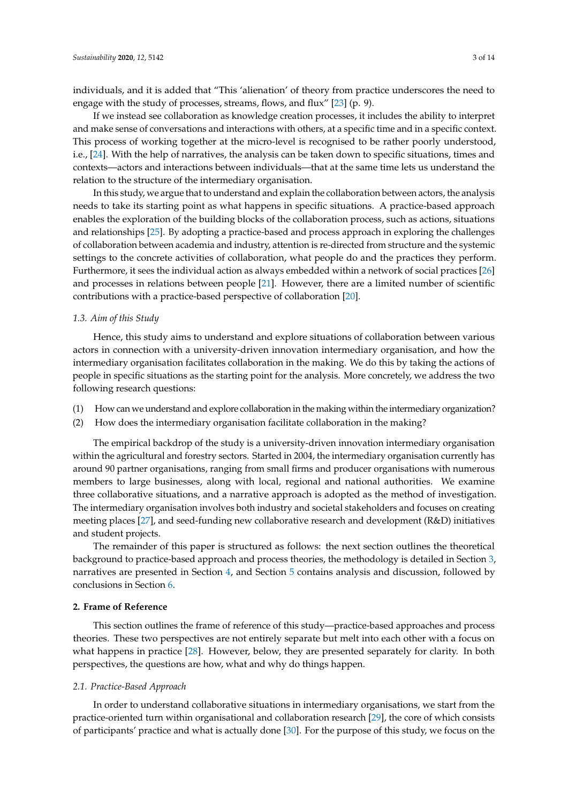individuals, and it is added that "This 'alienation' of theory from practice underscores the need to engage with the study of processes, streams, flows, and flux" [\[23\]](#page-12-6) (p. 9).

If we instead see collaboration as knowledge creation processes, it includes the ability to interpret and make sense of conversations and interactions with others, at a specific time and in a specific context. This process of working together at the micro-level is recognised to be rather poorly understood, i.e., [\[24\]](#page-12-7). With the help of narratives, the analysis can be taken down to specific situations, times and contexts—actors and interactions between individuals—that at the same time lets us understand the relation to the structure of the intermediary organisation.

In this study, we argue that to understand and explain the collaboration between actors, the analysis needs to take its starting point as what happens in specific situations. A practice-based approach enables the exploration of the building blocks of the collaboration process, such as actions, situations and relationships [\[25\]](#page-12-8). By adopting a practice-based and process approach in exploring the challenges of collaboration between academia and industry, attention is re-directed from structure and the systemic settings to the concrete activities of collaboration, what people do and the practices they perform. Furthermore, it sees the individual action as always embedded within a network of social practices [\[26\]](#page-12-9) and processes in relations between people [\[21\]](#page-12-4). However, there are a limited number of scientific contributions with a practice-based perspective of collaboration [\[20\]](#page-12-3).

## *1.3. Aim of this Study*

Hence, this study aims to understand and explore situations of collaboration between various actors in connection with a university-driven innovation intermediary organisation, and how the intermediary organisation facilitates collaboration in the making. We do this by taking the actions of people in specific situations as the starting point for the analysis. More concretely, we address the two following research questions:

- (1) How can we understand and explore collaboration in the making within the intermediary organization?
- (2) How does the intermediary organisation facilitate collaboration in the making?

The empirical backdrop of the study is a university-driven innovation intermediary organisation within the agricultural and forestry sectors. Started in 2004, the intermediary organisation currently has around 90 partner organisations, ranging from small firms and producer organisations with numerous members to large businesses, along with local, regional and national authorities. We examine three collaborative situations, and a narrative approach is adopted as the method of investigation. The intermediary organisation involves both industry and societal stakeholders and focuses on creating meeting places [\[27\]](#page-12-10), and seed-funding new collaborative research and development (R&D) initiatives and student projects.

The remainder of this paper is structured as follows: the next section outlines the theoretical background to practice-based approach and process theories, the methodology is detailed in Section [3,](#page-4-0) narratives are presented in Section [4,](#page-5-0) and Section [5](#page-7-0) contains analysis and discussion, followed by conclusions in Section [6.](#page-10-0)

#### **2. Frame of Reference**

This section outlines the frame of reference of this study—practice-based approaches and process theories. These two perspectives are not entirely separate but melt into each other with a focus on what happens in practice [\[28\]](#page-12-11). However, below, they are presented separately for clarity. In both perspectives, the questions are how, what and why do things happen.

## *2.1. Practice-Based Approach*

In order to understand collaborative situations in intermediary organisations, we start from the practice-oriented turn within organisational and collaboration research [\[29\]](#page-12-12), the core of which consists of participants' practice and what is actually done [\[30\]](#page-12-13). For the purpose of this study, we focus on the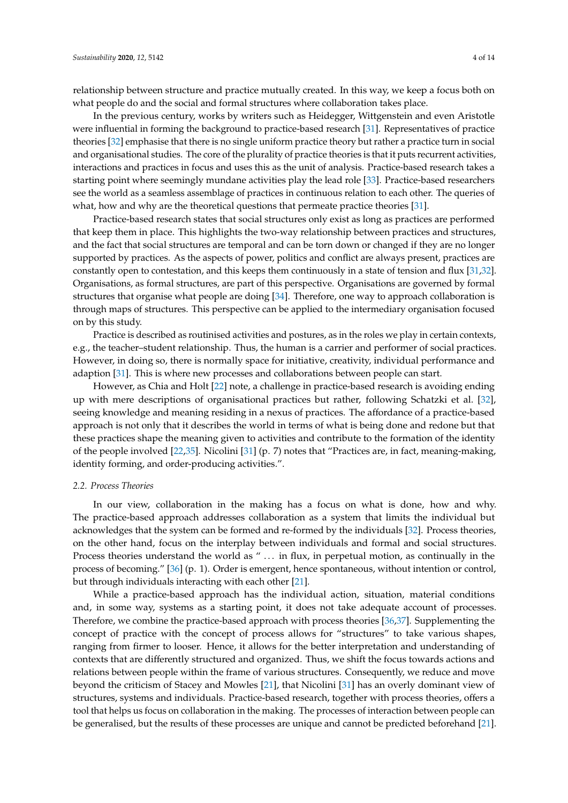relationship between structure and practice mutually created. In this way, we keep a focus both on what people do and the social and formal structures where collaboration takes place.

In the previous century, works by writers such as Heidegger, Wittgenstein and even Aristotle were influential in forming the background to practice-based research [\[31\]](#page-12-14). Representatives of practice theories [\[32\]](#page-12-15) emphasise that there is no single uniform practice theory but rather a practice turn in social and organisational studies. The core of the plurality of practice theories is that it puts recurrent activities, interactions and practices in focus and uses this as the unit of analysis. Practice-based research takes a starting point where seemingly mundane activities play the lead role [\[33\]](#page-12-16). Practice-based researchers see the world as a seamless assemblage of practices in continuous relation to each other. The queries of what, how and why are the theoretical questions that permeate practice theories [\[31\]](#page-12-14).

Practice-based research states that social structures only exist as long as practices are performed that keep them in place. This highlights the two-way relationship between practices and structures, and the fact that social structures are temporal and can be torn down or changed if they are no longer supported by practices. As the aspects of power, politics and conflict are always present, practices are constantly open to contestation, and this keeps them continuously in a state of tension and flux [\[31](#page-12-14)[,32\]](#page-12-15). Organisations, as formal structures, are part of this perspective. Organisations are governed by formal structures that organise what people are doing [\[34\]](#page-12-17). Therefore, one way to approach collaboration is through maps of structures. This perspective can be applied to the intermediary organisation focused on by this study.

Practice is described as routinised activities and postures, as in the roles we play in certain contexts, e.g., the teacher–student relationship. Thus, the human is a carrier and performer of social practices. However, in doing so, there is normally space for initiative, creativity, individual performance and adaption [\[31\]](#page-12-14). This is where new processes and collaborations between people can start.

However, as Chia and Holt [\[22\]](#page-12-5) note, a challenge in practice-based research is avoiding ending up with mere descriptions of organisational practices but rather, following Schatzki et al. [\[32\]](#page-12-15), seeing knowledge and meaning residing in a nexus of practices. The affordance of a practice-based approach is not only that it describes the world in terms of what is being done and redone but that these practices shape the meaning given to activities and contribute to the formation of the identity of the people involved [\[22,](#page-12-5)[35\]](#page-12-18). Nicolini [\[31\]](#page-12-14) (p. 7) notes that "Practices are, in fact, meaning-making, identity forming, and order-producing activities.".

## *2.2. Process Theories*

In our view, collaboration in the making has a focus on what is done, how and why. The practice-based approach addresses collaboration as a system that limits the individual but acknowledges that the system can be formed and re-formed by the individuals [\[32\]](#page-12-15). Process theories, on the other hand, focus on the interplay between individuals and formal and social structures. Process theories understand the world as " ... in flux, in perpetual motion, as continually in the process of becoming." [\[36\]](#page-12-19) (p. 1). Order is emergent, hence spontaneous, without intention or control, but through individuals interacting with each other [\[21\]](#page-12-4).

While a practice-based approach has the individual action, situation, material conditions and, in some way, systems as a starting point, it does not take adequate account of processes. Therefore, we combine the practice-based approach with process theories [\[36](#page-12-19)[,37\]](#page-12-20). Supplementing the concept of practice with the concept of process allows for "structures" to take various shapes, ranging from firmer to looser. Hence, it allows for the better interpretation and understanding of contexts that are differently structured and organized. Thus, we shift the focus towards actions and relations between people within the frame of various structures. Consequently, we reduce and move beyond the criticism of Stacey and Mowles [\[21\]](#page-12-4), that Nicolini [\[31\]](#page-12-14) has an overly dominant view of structures, systems and individuals. Practice-based research, together with process theories, offers a tool that helps us focus on collaboration in the making. The processes of interaction between people can be generalised, but the results of these processes are unique and cannot be predicted beforehand [\[21\]](#page-12-4).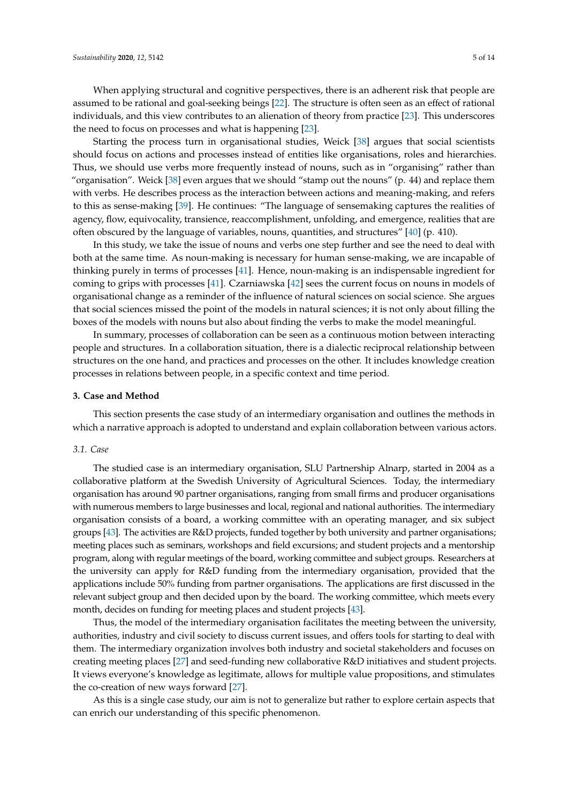When applying structural and cognitive perspectives, there is an adherent risk that people are assumed to be rational and goal-seeking beings [\[22\]](#page-12-5). The structure is often seen as an effect of rational individuals, and this view contributes to an alienation of theory from practice [\[23\]](#page-12-6). This underscores the need to focus on processes and what is happening [\[23\]](#page-12-6).

Starting the process turn in organisational studies, Weick [\[38\]](#page-12-21) argues that social scientists should focus on actions and processes instead of entities like organisations, roles and hierarchies. Thus, we should use verbs more frequently instead of nouns, such as in "organising" rather than "organisation". Weick [\[38\]](#page-12-21) even argues that we should "stamp out the nouns" (p. 44) and replace them with verbs. He describes process as the interaction between actions and meaning-making, and refers to this as sense-making [\[39\]](#page-12-22). He continues: "The language of sensemaking captures the realities of agency, flow, equivocality, transience, reaccomplishment, unfolding, and emergence, realities that are often obscured by the language of variables, nouns, quantities, and structures" [\[40\]](#page-12-23) (p. 410).

In this study, we take the issue of nouns and verbs one step further and see the need to deal with both at the same time. As noun-making is necessary for human sense-making, we are incapable of thinking purely in terms of processes [\[41\]](#page-12-24). Hence, noun-making is an indispensable ingredient for coming to grips with processes [\[41\]](#page-12-24). Czarniawska [\[42\]](#page-12-25) sees the current focus on nouns in models of organisational change as a reminder of the influence of natural sciences on social science. She argues that social sciences missed the point of the models in natural sciences; it is not only about filling the boxes of the models with nouns but also about finding the verbs to make the model meaningful.

In summary, processes of collaboration can be seen as a continuous motion between interacting people and structures. In a collaboration situation, there is a dialectic reciprocal relationship between structures on the one hand, and practices and processes on the other. It includes knowledge creation processes in relations between people, in a specific context and time period.

## <span id="page-4-0"></span>**3. Case and Method**

This section presents the case study of an intermediary organisation and outlines the methods in which a narrative approach is adopted to understand and explain collaboration between various actors.

#### <span id="page-4-1"></span>*3.1. Case*

The studied case is an intermediary organisation, SLU Partnership Alnarp, started in 2004 as a collaborative platform at the Swedish University of Agricultural Sciences. Today, the intermediary organisation has around 90 partner organisations, ranging from small firms and producer organisations with numerous members to large businesses and local, regional and national authorities. The intermediary organisation consists of a board, a working committee with an operating manager, and six subject groups [\[43\]](#page-12-26). The activities are R&D projects, funded together by both university and partner organisations; meeting places such as seminars, workshops and field excursions; and student projects and a mentorship program, along with regular meetings of the board, working committee and subject groups. Researchers at the university can apply for R&D funding from the intermediary organisation, provided that the applications include 50% funding from partner organisations. The applications are first discussed in the relevant subject group and then decided upon by the board. The working committee, which meets every month, decides on funding for meeting places and student projects [\[43\]](#page-12-26).

Thus, the model of the intermediary organisation facilitates the meeting between the university, authorities, industry and civil society to discuss current issues, and offers tools for starting to deal with them. The intermediary organization involves both industry and societal stakeholders and focuses on creating meeting places [\[27\]](#page-12-10) and seed-funding new collaborative R&D initiatives and student projects. It views everyone's knowledge as legitimate, allows for multiple value propositions, and stimulates the co-creation of new ways forward [\[27\]](#page-12-10).

As this is a single case study, our aim is not to generalize but rather to explore certain aspects that can enrich our understanding of this specific phenomenon.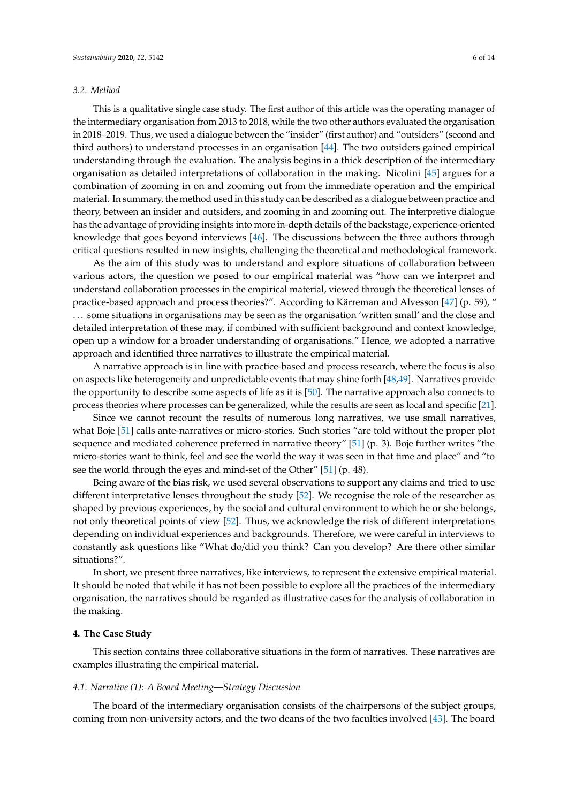## *3.2. Method*

This is a qualitative single case study. The first author of this article was the operating manager of the intermediary organisation from 2013 to 2018, while the two other authors evaluated the organisation in 2018–2019. Thus, we used a dialogue between the "insider" (first author) and "outsiders" (second and third authors) to understand processes in an organisation [\[44\]](#page-12-27). The two outsiders gained empirical understanding through the evaluation. The analysis begins in a thick description of the intermediary organisation as detailed interpretations of collaboration in the making. Nicolini [\[45\]](#page-12-28) argues for a combination of zooming in on and zooming out from the immediate operation and the empirical material. In summary, the method used in this study can be described as a dialogue between practice and theory, between an insider and outsiders, and zooming in and zooming out. The interpretive dialogue has the advantage of providing insights into more in-depth details of the backstage, experience-oriented knowledge that goes beyond interviews [\[46\]](#page-13-0). The discussions between the three authors through critical questions resulted in new insights, challenging the theoretical and methodological framework.

As the aim of this study was to understand and explore situations of collaboration between various actors, the question we posed to our empirical material was "how can we interpret and understand collaboration processes in the empirical material, viewed through the theoretical lenses of practice-based approach and process theories?". According to Kärreman and Alvesson [\[47\]](#page-13-1) (p. 59), " . . . some situations in organisations may be seen as the organisation 'written small' and the close and detailed interpretation of these may, if combined with sufficient background and context knowledge, open up a window for a broader understanding of organisations." Hence, we adopted a narrative approach and identified three narratives to illustrate the empirical material.

A narrative approach is in line with practice-based and process research, where the focus is also on aspects like heterogeneity and unpredictable events that may shine forth [\[48,](#page-13-2)[49\]](#page-13-3). Narratives provide the opportunity to describe some aspects of life as it is [\[50\]](#page-13-4). The narrative approach also connects to process theories where processes can be generalized, while the results are seen as local and specific [\[21\]](#page-12-4).

Since we cannot recount the results of numerous long narratives, we use small narratives, what Boje [\[51\]](#page-13-5) calls ante-narratives or micro-stories. Such stories "are told without the proper plot sequence and mediated coherence preferred in narrative theory" [\[51\]](#page-13-5) (p. 3). Boje further writes "the micro-stories want to think, feel and see the world the way it was seen in that time and place" and "to see the world through the eyes and mind-set of the Other" [\[51\]](#page-13-5) (p. 48).

Being aware of the bias risk, we used several observations to support any claims and tried to use different interpretative lenses throughout the study [\[52\]](#page-13-6). We recognise the role of the researcher as shaped by previous experiences, by the social and cultural environment to which he or she belongs, not only theoretical points of view [\[52\]](#page-13-6). Thus, we acknowledge the risk of different interpretations depending on individual experiences and backgrounds. Therefore, we were careful in interviews to constantly ask questions like "What do/did you think? Can you develop? Are there other similar situations?".

In short, we present three narratives, like interviews, to represent the extensive empirical material. It should be noted that while it has not been possible to explore all the practices of the intermediary organisation, the narratives should be regarded as illustrative cases for the analysis of collaboration in the making.

#### <span id="page-5-0"></span>**4. The Case Study**

This section contains three collaborative situations in the form of narratives. These narratives are examples illustrating the empirical material.

#### <span id="page-5-1"></span>*4.1. Narrative (1): A Board Meeting—Strategy Discussion*

The board of the intermediary organisation consists of the chairpersons of the subject groups, coming from non-university actors, and the two deans of the two faculties involved [\[43\]](#page-12-26). The board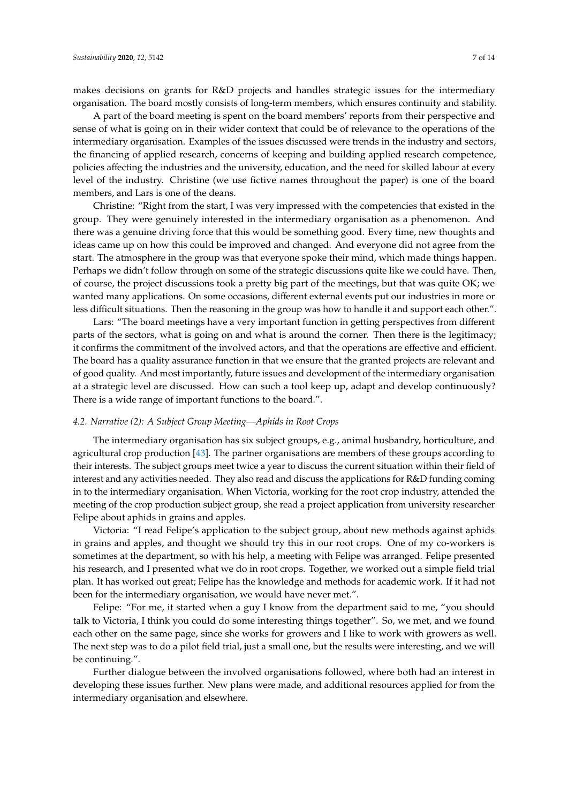makes decisions on grants for R&D projects and handles strategic issues for the intermediary organisation. The board mostly consists of long-term members, which ensures continuity and stability.

A part of the board meeting is spent on the board members' reports from their perspective and sense of what is going on in their wider context that could be of relevance to the operations of the intermediary organisation. Examples of the issues discussed were trends in the industry and sectors, the financing of applied research, concerns of keeping and building applied research competence, policies affecting the industries and the university, education, and the need for skilled labour at every level of the industry. Christine (we use fictive names throughout the paper) is one of the board members, and Lars is one of the deans.

Christine: "Right from the start, I was very impressed with the competencies that existed in the group. They were genuinely interested in the intermediary organisation as a phenomenon. And there was a genuine driving force that this would be something good. Every time, new thoughts and ideas came up on how this could be improved and changed. And everyone did not agree from the start. The atmosphere in the group was that everyone spoke their mind, which made things happen. Perhaps we didn't follow through on some of the strategic discussions quite like we could have. Then, of course, the project discussions took a pretty big part of the meetings, but that was quite OK; we wanted many applications. On some occasions, different external events put our industries in more or less difficult situations. Then the reasoning in the group was how to handle it and support each other.".

Lars: "The board meetings have a very important function in getting perspectives from different parts of the sectors, what is going on and what is around the corner. Then there is the legitimacy; it confirms the commitment of the involved actors, and that the operations are effective and efficient. The board has a quality assurance function in that we ensure that the granted projects are relevant and of good quality. And most importantly, future issues and development of the intermediary organisation at a strategic level are discussed. How can such a tool keep up, adapt and develop continuously? There is a wide range of important functions to the board.".

## *4.2. Narrative (2): A Subject Group Meeting—Aphids in Root Crops*

The intermediary organisation has six subject groups, e.g., animal husbandry, horticulture, and agricultural crop production [\[43\]](#page-12-26). The partner organisations are members of these groups according to their interests. The subject groups meet twice a year to discuss the current situation within their field of interest and any activities needed. They also read and discuss the applications for R&D funding coming in to the intermediary organisation. When Victoria, working for the root crop industry, attended the meeting of the crop production subject group, she read a project application from university researcher Felipe about aphids in grains and apples.

Victoria: "I read Felipe's application to the subject group, about new methods against aphids in grains and apples, and thought we should try this in our root crops. One of my co-workers is sometimes at the department, so with his help, a meeting with Felipe was arranged. Felipe presented his research, and I presented what we do in root crops. Together, we worked out a simple field trial plan. It has worked out great; Felipe has the knowledge and methods for academic work. If it had not been for the intermediary organisation, we would have never met.".

Felipe: "For me, it started when a guy I know from the department said to me, "you should talk to Victoria, I think you could do some interesting things together". So, we met, and we found each other on the same page, since she works for growers and I like to work with growers as well. The next step was to do a pilot field trial, just a small one, but the results were interesting, and we will be continuing.".

Further dialogue between the involved organisations followed, where both had an interest in developing these issues further. New plans were made, and additional resources applied for from the intermediary organisation and elsewhere.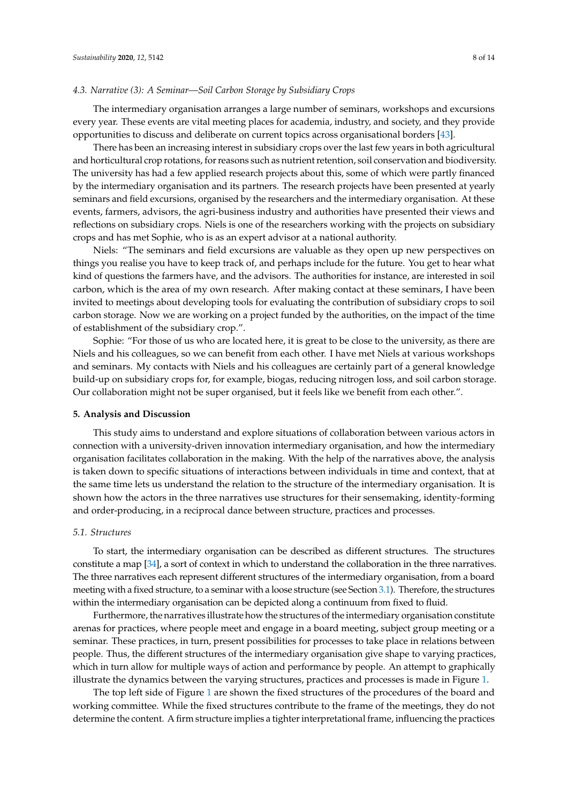## *4.3. Narrative (3): A Seminar—Soil Carbon Storage by Subsidiary Crops*

The intermediary organisation arranges a large number of seminars, workshops and excursions every year. These events are vital meeting places for academia, industry, and society, and they provide opportunities to discuss and deliberate on current topics across organisational borders [\[43\]](#page-12-26).

There has been an increasing interest in subsidiary crops over the last few years in both agricultural and horticultural crop rotations, for reasons such as nutrient retention, soil conservation and biodiversity. The university has had a few applied research projects about this, some of which were partly financed by the intermediary organisation and its partners. The research projects have been presented at yearly seminars and field excursions, organised by the researchers and the intermediary organisation. At these events, farmers, advisors, the agri-business industry and authorities have presented their views and reflections on subsidiary crops. Niels is one of the researchers working with the projects on subsidiary crops and has met Sophie, who is as an expert advisor at a national authority.

Niels: "The seminars and field excursions are valuable as they open up new perspectives on things you realise you have to keep track of, and perhaps include for the future. You get to hear what kind of questions the farmers have, and the advisors. The authorities for instance, are interested in soil carbon, which is the area of my own research. After making contact at these seminars, I have been invited to meetings about developing tools for evaluating the contribution of subsidiary crops to soil carbon storage. Now we are working on a project funded by the authorities, on the impact of the time of establishment of the subsidiary crop.".

Sophie: "For those of us who are located here, it is great to be close to the university, as there are Niels and his colleagues, so we can benefit from each other. I have met Niels at various workshops and seminars. My contacts with Niels and his colleagues are certainly part of a general knowledge build-up on subsidiary crops for, for example, biogas, reducing nitrogen loss, and soil carbon storage. Our collaboration might not be super organised, but it feels like we benefit from each other.".

## <span id="page-7-0"></span>**5. Analysis and Discussion**

This study aims to understand and explore situations of collaboration between various actors in connection with a university-driven innovation intermediary organisation, and how the intermediary organisation facilitates collaboration in the making. With the help of the narratives above, the analysis is taken down to specific situations of interactions between individuals in time and context, that at the same time lets us understand the relation to the structure of the intermediary organisation. It is shown how the actors in the three narratives use structures for their sensemaking, identity-forming and order-producing, in a reciprocal dance between structure, practices and processes.

#### *5.1. Structures*

To start, the intermediary organisation can be described as different structures. The structures constitute a map [\[34\]](#page-12-17), a sort of context in which to understand the collaboration in the three narratives. The three narratives each represent different structures of the intermediary organisation, from a board meeting with a fixed structure, to a seminar with a loose structure (see Section [3.1\)](#page-4-1). Therefore, the structures within the intermediary organisation can be depicted along a continuum from fixed to fluid.

Furthermore, the narratives illustrate how the structures of the intermediary organisation constitute arenas for practices, where people meet and engage in a board meeting, subject group meeting or a seminar. These practices, in turn, present possibilities for processes to take place in relations between people. Thus, the different structures of the intermediary organisation give shape to varying practices, which in turn allow for multiple ways of action and performance by people. An attempt to graphically illustrate the dynamics between the varying structures, practices and processes is made in Figure [1.](#page-8-0)

The top left side of Figure [1](#page-8-0) are shown the fixed structures of the procedures of the board and working committee. While the fixed structures contribute to the frame of the meetings, they do not determine the content. A firm structure implies a tighter interpretational frame, influencing the practices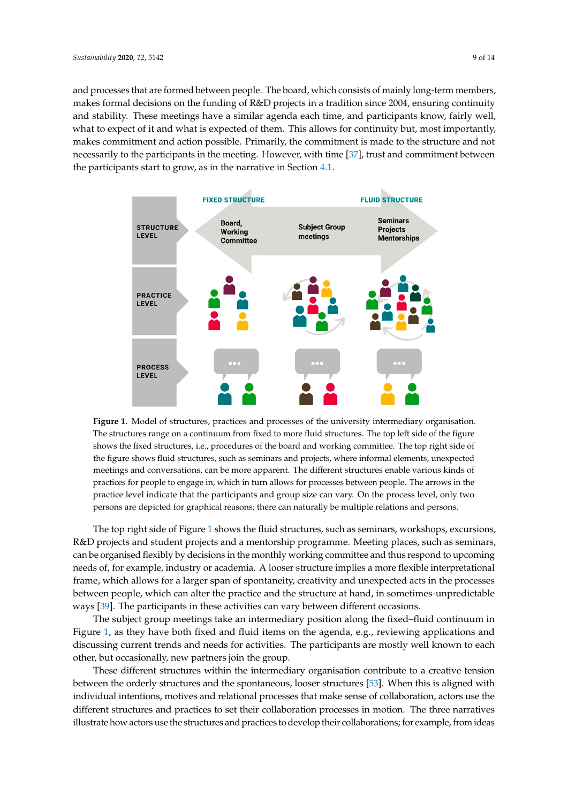and processes that are formed between people. The board, which consists of mainly long-term members, makes formal decisions on the funding of R&D projects in a tradition since 2004, ensuring continuity and stability. These meetings have a similar agenda each time, and participants know, fairly well, what to expect of it and what is expected of them. This allows for continuity but, most importantly, makes commitment and action possible. Primarily, the commitment is made to the structure and not necessarily to the participants in the meeting. However, with time [\[37\]](#page-12-20), trust and commitment between the participants start to grow, as in the narrative in Section [4.1.](#page-5-1)

<span id="page-8-0"></span>

The structures range on a continuum from fixed to more fluid structures. The top left side of the figure shows the fixed structures, i.e., procedures of the board and working committee. The top right side of the figure shows fluid structures, such as seminars and projects, where informal elements, unexpected meetings and conversations, can be more apparent. The different structures enable various kinds of practices for people to engage in, which in turn allows for processes between people. The arrows in the practice level indicate that the participants and group size can vary. On the process level, only two persons are depicted for graphical reasons; there can naturally be multiple relations and persons. level, only two persons are depicted for graphical reasons; there can naturally be multiple relations; the multiple relations; the multiple relations; the multiple relations; the multiple relations; the multiple relations **Figure 1.** Model of structures, practices and processes of the university intermediary organisation.

The top right side of Figure [1](#page-8-0) shows the fluid structures, such as seminars, workshops, excursions, can be organised flexibly by decisions in the monthly working committee and thus respond to upcoming needs of, for example, industry or academia. A looser structure implies a more flexible interpretational frame, which allows for a larger span of spontaneity, creativity and unexpected acts in the processes between people, which can alter the practice and the structure at hand, in sometimes-unpredictable ways [\[39\]](#page-12-22). The participants in these activities can vary between different occasions. R&D projects and student projects and a mentorship programme. Meeting places, such as seminars,

The subject group meetings take an intermediary position along the fixed–fluid continuum in Figure [1,](#page-8-0) as they have both fixed and fluid items on the agenda, e.g., reviewing applications and discussing current trends and needs for activities. The participants are mostly well known to each other, but occasionally, new partners join the group.

These different structures within the intermediary organisation contribute to a creative tension between the orderly structures and the spontaneous, looser structures [\[53\]](#page-13-7). When this is aligned with individual intentions, motives and relational processes that make sense of collaboration, actors use the different structures and practices to set their collaboration processes in motion. The three narratives illustrate how actors use the structures and practices to develop their collaborations; for example, from ideas flexible interpretational frame, which allows for a larger span of spontaneity, creativity and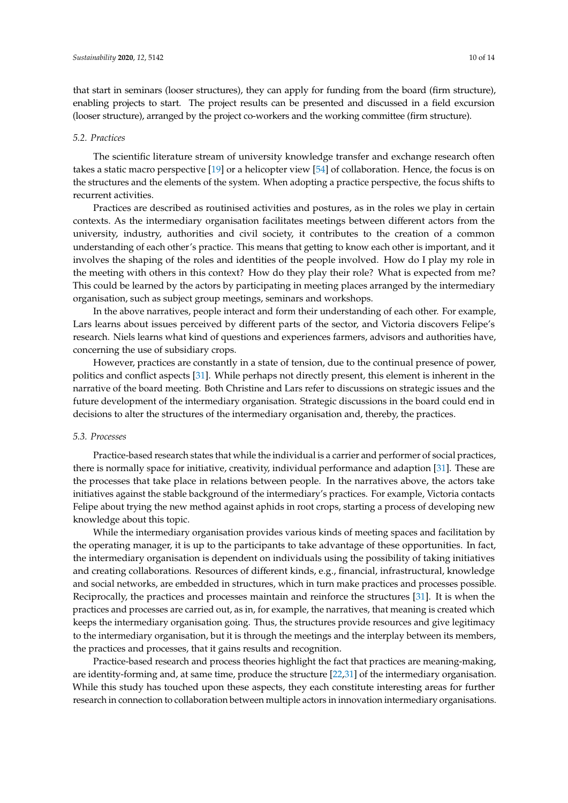that start in seminars (looser structures), they can apply for funding from the board (firm structure), enabling projects to start. The project results can be presented and discussed in a field excursion (looser structure), arranged by the project co-workers and the working committee (firm structure).

#### *5.2. Practices*

The scientific literature stream of university knowledge transfer and exchange research often takes a static macro perspective [\[19\]](#page-12-2) or a helicopter view [\[54\]](#page-13-8) of collaboration. Hence, the focus is on the structures and the elements of the system. When adopting a practice perspective, the focus shifts to recurrent activities.

Practices are described as routinised activities and postures, as in the roles we play in certain contexts. As the intermediary organisation facilitates meetings between different actors from the university, industry, authorities and civil society, it contributes to the creation of a common understanding of each other's practice. This means that getting to know each other is important, and it involves the shaping of the roles and identities of the people involved. How do I play my role in the meeting with others in this context? How do they play their role? What is expected from me? This could be learned by the actors by participating in meeting places arranged by the intermediary organisation, such as subject group meetings, seminars and workshops.

In the above narratives, people interact and form their understanding of each other. For example, Lars learns about issues perceived by different parts of the sector, and Victoria discovers Felipe's research. Niels learns what kind of questions and experiences farmers, advisors and authorities have, concerning the use of subsidiary crops.

However, practices are constantly in a state of tension, due to the continual presence of power, politics and conflict aspects [\[31\]](#page-12-14). While perhaps not directly present, this element is inherent in the narrative of the board meeting. Both Christine and Lars refer to discussions on strategic issues and the future development of the intermediary organisation. Strategic discussions in the board could end in decisions to alter the structures of the intermediary organisation and, thereby, the practices.

## *5.3. Processes*

Practice-based research states that while the individual is a carrier and performer of social practices, there is normally space for initiative, creativity, individual performance and adaption [\[31\]](#page-12-14). These are the processes that take place in relations between people. In the narratives above, the actors take initiatives against the stable background of the intermediary's practices. For example, Victoria contacts Felipe about trying the new method against aphids in root crops, starting a process of developing new knowledge about this topic.

While the intermediary organisation provides various kinds of meeting spaces and facilitation by the operating manager, it is up to the participants to take advantage of these opportunities. In fact, the intermediary organisation is dependent on individuals using the possibility of taking initiatives and creating collaborations. Resources of different kinds, e.g., financial, infrastructural, knowledge and social networks, are embedded in structures, which in turn make practices and processes possible. Reciprocally, the practices and processes maintain and reinforce the structures [\[31\]](#page-12-14). It is when the practices and processes are carried out, as in, for example, the narratives, that meaning is created which keeps the intermediary organisation going. Thus, the structures provide resources and give legitimacy to the intermediary organisation, but it is through the meetings and the interplay between its members, the practices and processes, that it gains results and recognition.

Practice-based research and process theories highlight the fact that practices are meaning-making, are identity-forming and, at same time, produce the structure [\[22,](#page-12-5)[31\]](#page-12-14) of the intermediary organisation. While this study has touched upon these aspects, they each constitute interesting areas for further research in connection to collaboration between multiple actors in innovation intermediary organisations.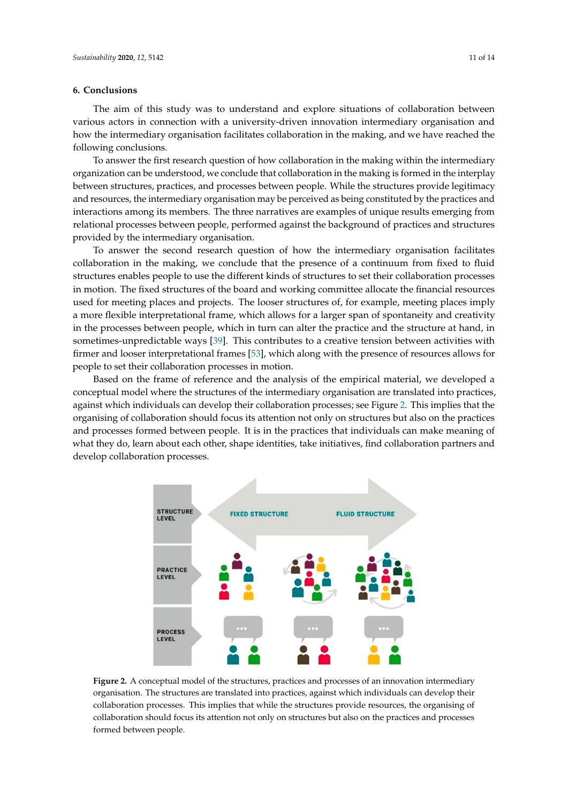## <span id="page-10-0"></span>**6. Conclusions**

The aim of this study was to understand and explore situations of collaboration between various actors in connection with a university-driven innovation intermediary organisation and how the intermediary organisation facilitates collaboration in the making, and we have reached the **6. Conclusions**  following conclusions. The aim of this study was to understand and explore situations of collaboration between various of collaborations of collaborations of collaboration between various of collaboration between various o

To answer the first research question of how collaboration in the making within the intermediary organization can be understood, we conclude that collaboration in the making is formed in the interplay between structures, practices, and processes between people. While the structures provide legitimacy and resources, the intermediary organisation may be perceived as being constituted by the practices and interactions among its members. The three narratives are examples of unique results emerging from relational processes between people, performed against the background of practices and structures provided by the intermediary organisation. efforts among the members. The time manufactures are examples of analytic results emerging to

To answer the second research question of how the intermediary organisation facilitates collaboration in the making, we conclude that the presence of a continuum from fixed to fluid structures enables people to use the different kinds of structures to set their collaboration processes in motion. The fixed structures of the board and working committee allocate the financial resources used for meeting places and projects. The looser structures of, for example, meeting places imply a more flexible interpretational frame, which allows for a larger span of spontaneity and creativity in the processes between people, which in turn can alter the practice and the structure at hand, in sometimes-unpredictable ways [\[39\]](#page-12-22). This contributes to a creative tension between activities with firmer and looser interpretational frames [\[53\]](#page-13-7), which along with the presence of resources allows for people to set their collaboration processes in motion. processes between people, when all tark allows the practice and the structure at half

Based on the frame of reference and the analysis of the empirical material, we developed a conceptual model where the structures of the intermediary organisation are translated into practices, against which individuals can develop their collaboration processes; see Figure [2.](#page-10-1) This implies that the organising of collaboration should focus its attention not only on structures but also on the practices and processes formed between people. It is in the practices that individuals can make meaning of and processes formed between people. It is in the practices that individual eart make meaning or what they do, learn about each other, shape identities, take initiatives, find collaboration partners and develop collaboration processes. partners and develop collaboration processes. meaning of what they do, learn about each other, shape identities, take initiatives, find collaboration

<span id="page-10-1"></span>

**Figure 2.** A conceptual model of the structures, practices and processes of an innovation intermediary **Figure 2.** A conceptual model of the structures, practices and processes of an innovation intermediary organisation. The structures are translated into practices, against which individuals can develop their organisation. The structures are translated into practices, against which individuals can develop their collaboration processes. This implies that while the structures provide resources, the organising of collaboration processes. This implies that while the structures provide resources, the organising of collaboration should focus its attention not only on structures but also on the practices and processes collaboration should focus its attention not only on structures but also on the practices and processes formed between people. formed between people.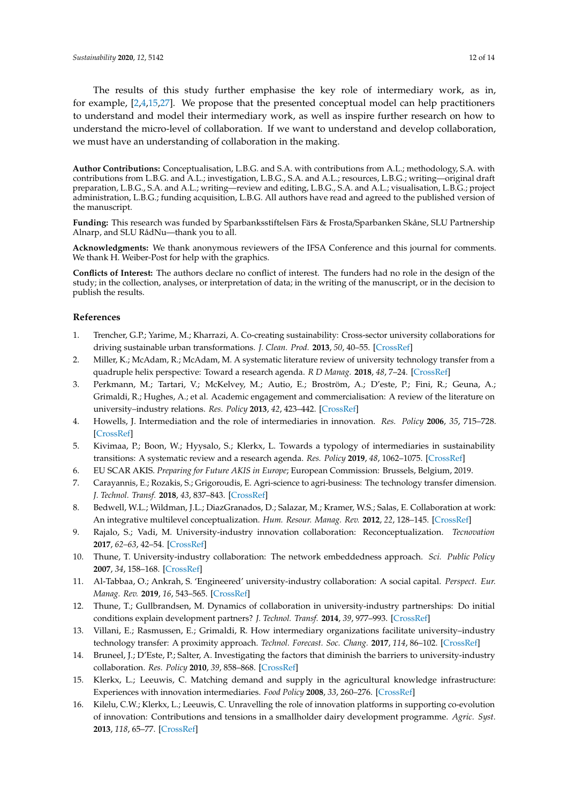The results of this study further emphasise the key role of intermediary work, as in, for example, [\[2,](#page-11-1)[4,](#page-11-3)[15](#page-11-14)[,27\]](#page-12-10). We propose that the presented conceptual model can help practitioners to understand and model their intermediary work, as well as inspire further research on how to understand the micro-level of collaboration. If we want to understand and develop collaboration, we must have an understanding of collaboration in the making.

**Author Contributions:** Conceptualisation, L.B.G. and S.A. with contributions from A.L.; methodology, S.A. with contributions from L.B.G. and A.L.; investigation, L.B.G., S.A. and A.L.; resources, L.B.G.; writing—original draft preparation, L.B.G., S.A. and A.L.; writing—review and editing, L.B.G., S.A. and A.L.; visualisation, L.B.G.; project administration, L.B.G.; funding acquisition, L.B.G. All authors have read and agreed to the published version of the manuscript.

**Funding:** This research was funded by Sparbanksstiftelsen Färs & Frosta/Sparbanken Skåne, SLU Partnership Alnarp, and SLU RådNu—thank you to all.

**Acknowledgments:** We thank anonymous reviewers of the IFSA Conference and this journal for comments. We thank H. Weiber-Post for help with the graphics.

**Conflicts of Interest:** The authors declare no conflict of interest. The funders had no role in the design of the study; in the collection, analyses, or interpretation of data; in the writing of the manuscript, or in the decision to publish the results.

## **References**

- <span id="page-11-0"></span>1. Trencher, G.P.; Yarime, M.; Kharrazi, A. Co-creating sustainability: Cross-sector university collaborations for driving sustainable urban transformations. *J. Clean. Prod.* **2013**, *50*, 40–55. [\[CrossRef\]](http://dx.doi.org/10.1016/j.jclepro.2012.11.047)
- <span id="page-11-1"></span>2. Miller, K.; McAdam, R.; McAdam, M. A systematic literature review of university technology transfer from a quadruple helix perspective: Toward a research agenda. *R D Manag.* **2018**, *48*, 7–24. [\[CrossRef\]](http://dx.doi.org/10.1111/radm.12228)
- <span id="page-11-2"></span>3. Perkmann, M.; Tartari, V.; McKelvey, M.; Autio, E.; Broström, A.; D'este, P.; Fini, R.; Geuna, A.; Grimaldi, R.; Hughes, A.; et al. Academic engagement and commercialisation: A review of the literature on university–industry relations. *Res. Policy* **2013**, *42*, 423–442. [\[CrossRef\]](http://dx.doi.org/10.1016/j.respol.2012.09.007)
- <span id="page-11-3"></span>4. Howells, J. Intermediation and the role of intermediaries in innovation. *Res. Policy* **2006**, *35*, 715–728. [\[CrossRef\]](http://dx.doi.org/10.1016/j.respol.2006.03.005)
- <span id="page-11-4"></span>5. Kivimaa, P.; Boon, W.; Hyysalo, S.; Klerkx, L. Towards a typology of intermediaries in sustainability transitions: A systematic review and a research agenda. *Res. Policy* **2019**, *48*, 1062–1075. [\[CrossRef\]](http://dx.doi.org/10.1016/j.respol.2018.10.006)
- <span id="page-11-5"></span>6. EU SCAR AKIS. *Preparing for Future AKIS in Europe*; European Commission: Brussels, Belgium, 2019.
- <span id="page-11-6"></span>7. Carayannis, E.; Rozakis, S.; Grigoroudis, E. Agri-science to agri-business: The technology transfer dimension. *J. Technol. Transf.* **2018**, *43*, 837–843. [\[CrossRef\]](http://dx.doi.org/10.1007/s10961-016-9527-y)
- <span id="page-11-7"></span>8. Bedwell, W.L.; Wildman, J.L.; DiazGranados, D.; Salazar, M.; Kramer, W.S.; Salas, E. Collaboration at work: An integrative multilevel conceptualization. *Hum. Resour. Manag. Rev.* **2012**, *22*, 128–145. [\[CrossRef\]](http://dx.doi.org/10.1016/j.hrmr.2011.11.007)
- <span id="page-11-8"></span>9. Rajalo, S.; Vadi, M. University-industry innovation collaboration: Reconceptualization. *Tecnovation* **2017**, *62–63*, 42–54. [\[CrossRef\]](http://dx.doi.org/10.1016/j.technovation.2017.04.003)
- <span id="page-11-9"></span>10. Thune, T. University-industry collaboration: The network embeddedness approach. *Sci. Public Policy* **2007**, *34*, 158–168. [\[CrossRef\]](http://dx.doi.org/10.3152/030234207X206902)
- <span id="page-11-10"></span>11. Al-Tabbaa, O.; Ankrah, S. 'Engineered' university-industry collaboration: A social capital. *Perspect. Eur. Manag. Rev.* **2019**, *16*, 543–565. [\[CrossRef\]](http://dx.doi.org/10.1111/emre.12174)
- <span id="page-11-11"></span>12. Thune, T.; Gullbrandsen, M. Dynamics of collaboration in university-industry partnerships: Do initial conditions explain development partners? *J. Technol. Transf.* **2014**, *39*, 977–993. [\[CrossRef\]](http://dx.doi.org/10.1007/s10961-014-9331-5)
- <span id="page-11-12"></span>13. Villani, E.; Rasmussen, E.; Grimaldi, R. How intermediary organizations facilitate university–industry technology transfer: A proximity approach. *Technol. Forecast. Soc. Chang.* **2017**, *114*, 86–102. [\[CrossRef\]](http://dx.doi.org/10.1016/j.techfore.2016.06.004)
- <span id="page-11-13"></span>14. Bruneel, J.; D'Este, P.; Salter, A. Investigating the factors that diminish the barriers to university-industry collaboration. *Res. Policy* **2010**, *39*, 858–868. [\[CrossRef\]](http://dx.doi.org/10.1016/j.respol.2010.03.006)
- <span id="page-11-14"></span>15. Klerkx, L.; Leeuwis, C. Matching demand and supply in the agricultural knowledge infrastructure: Experiences with innovation intermediaries. *Food Policy* **2008**, *33*, 260–276. [\[CrossRef\]](http://dx.doi.org/10.1016/j.foodpol.2007.10.001)
- <span id="page-11-15"></span>16. Kilelu, C.W.; Klerkx, L.; Leeuwis, C. Unravelling the role of innovation platforms in supporting co-evolution of innovation: Contributions and tensions in a smallholder dairy development programme. *Agric. Syst.* **2013**, *118*, 65–77. [\[CrossRef\]](http://dx.doi.org/10.1016/j.agsy.2013.03.003)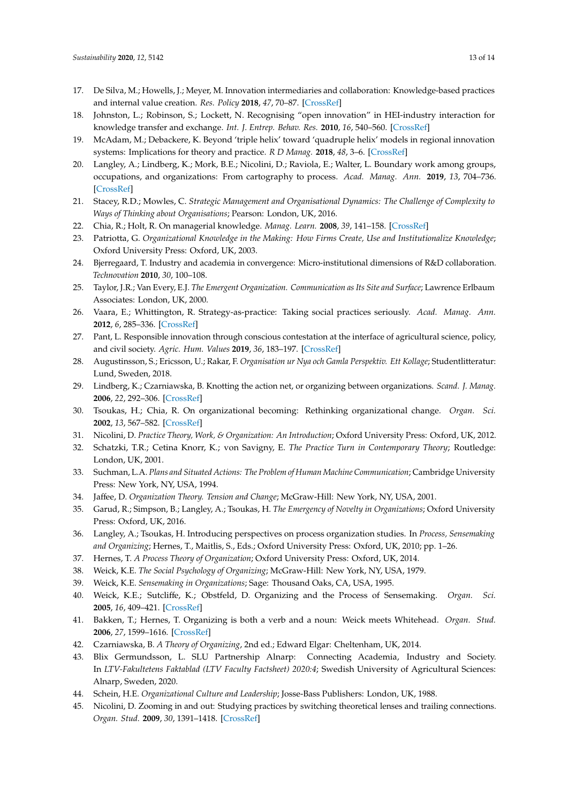- <span id="page-12-0"></span>17. De Silva, M.; Howells, J.; Meyer, M. Innovation intermediaries and collaboration: Knowledge-based practices and internal value creation. *Res. Policy* **2018**, *47*, 70–87. [\[CrossRef\]](http://dx.doi.org/10.1016/j.respol.2017.09.011)
- <span id="page-12-1"></span>18. Johnston, L.; Robinson, S.; Lockett, N. Recognising "open innovation" in HEI-industry interaction for knowledge transfer and exchange. *Int. J. Entrep. Behav. Res.* **2010**, *16*, 540–560. [\[CrossRef\]](http://dx.doi.org/10.1108/13552551011082498)
- <span id="page-12-2"></span>19. McAdam, M.; Debackere, K. Beyond 'triple helix' toward 'quadruple helix' models in regional innovation systems: Implications for theory and practice. *R D Manag.* **2018**, *48*, 3–6. [\[CrossRef\]](http://dx.doi.org/10.1111/radm.12309)
- <span id="page-12-3"></span>20. Langley, A.; Lindberg, K.; Mork, B.E.; Nicolini, D.; Raviola, E.; Walter, L. Boundary work among groups, occupations, and organizations: From cartography to process. *Acad. Manag. Ann.* **2019**, *13*, 704–736. [\[CrossRef\]](http://dx.doi.org/10.5465/annals.2017.0089)
- <span id="page-12-4"></span>21. Stacey, R.D.; Mowles, C. *Strategic Management and Organisational Dynamics: The Challenge of Complexity to Ways of Thinking about Organisations*; Pearson: London, UK, 2016.
- <span id="page-12-5"></span>22. Chia, R.; Holt, R. On managerial knowledge. *Manag. Learn.* **2008**, *39*, 141–158. [\[CrossRef\]](http://dx.doi.org/10.1177/1350507607087579)
- <span id="page-12-6"></span>23. Patriotta, G. *Organizational Knowledge in the Making: How Firms Create, Use and Institutionalize Knowledge*; Oxford University Press: Oxford, UK, 2003.
- <span id="page-12-7"></span>24. Bjerregaard, T. Industry and academia in convergence: Micro-institutional dimensions of R&D collaboration. *Technovation* **2010**, *30*, 100–108.
- <span id="page-12-8"></span>25. Taylor, J.R.; Van Every, E.J. *The Emergent Organization. Communication as Its Site and Surface*; Lawrence Erlbaum Associates: London, UK, 2000.
- <span id="page-12-9"></span>26. Vaara, E.; Whittington, R. Strategy-as-practice: Taking social practices seriously. *Acad. Manag. Ann.* **2012**, *6*, 285–336. [\[CrossRef\]](http://dx.doi.org/10.5465/19416520.2012.672039)
- <span id="page-12-10"></span>27. Pant, L. Responsible innovation through conscious contestation at the interface of agricultural science, policy, and civil society. *Agric. Hum. Values* **2019**, *36*, 183–197. [\[CrossRef\]](http://dx.doi.org/10.1007/s10460-019-09909-2)
- <span id="page-12-11"></span>28. Augustinsson, S.; Ericsson, U.; Rakar, F. *Organisation ur Nya och Gamla Perspektiv. Ett Kollage*; Studentlitteratur: Lund, Sweden, 2018.
- <span id="page-12-12"></span>29. Lindberg, K.; Czarniawska, B. Knotting the action net, or organizing between organizations. *Scand. J. Manag.* **2006**, *22*, 292–306. [\[CrossRef\]](http://dx.doi.org/10.1016/j.scaman.2006.09.001)
- <span id="page-12-13"></span>30. Tsoukas, H.; Chia, R. On organizational becoming: Rethinking organizational change. *Organ. Sci.* **2002**, *13*, 567–582. [\[CrossRef\]](http://dx.doi.org/10.1287/orsc.13.5.567.7810)
- <span id="page-12-14"></span>31. Nicolini, D. *Practice Theory, Work, & Organization: An Introduction*; Oxford University Press: Oxford, UK, 2012.
- <span id="page-12-15"></span>32. Schatzki, T.R.; Cetina Knorr, K.; von Savigny, E. *The Practice Turn in Contemporary Theory*; Routledge: London, UK, 2001.
- <span id="page-12-16"></span>33. Suchman, L.A. *Plans and Situated Actions: The Problem of Human Machine Communication*; Cambridge University Press: New York, NY, USA, 1994.
- <span id="page-12-17"></span>34. Jaffee, D. *Organization Theory. Tension and Change*; McGraw-Hill: New York, NY, USA, 2001.
- <span id="page-12-18"></span>35. Garud, R.; Simpson, B.; Langley, A.; Tsoukas, H. *The Emergency of Novelty in Organizations*; Oxford University Press: Oxford, UK, 2016.
- <span id="page-12-19"></span>36. Langley, A.; Tsoukas, H. Introducing perspectives on process organization studies. In *Process, Sensemaking and Organizing*; Hernes, T., Maitlis, S., Eds.; Oxford University Press: Oxford, UK, 2010; pp. 1–26.
- <span id="page-12-20"></span>37. Hernes, T. *A Process Theory of Organization*; Oxford University Press: Oxford, UK, 2014.
- <span id="page-12-21"></span>38. Weick, K.E. *The Social Psychology of Organizing*; McGraw-Hill: New York, NY, USA, 1979.
- <span id="page-12-22"></span>39. Weick, K.E. *Sensemaking in Organizations*; Sage: Thousand Oaks, CA, USA, 1995.
- <span id="page-12-23"></span>40. Weick, K.E.; Sutcliffe, K.; Obstfeld, D. Organizing and the Process of Sensemaking. *Organ. Sci.* **2005**, *16*, 409–421. [\[CrossRef\]](http://dx.doi.org/10.1287/orsc.1050.0133)
- <span id="page-12-24"></span>41. Bakken, T.; Hernes, T. Organizing is both a verb and a noun: Weick meets Whitehead. *Organ. Stud.* **2006**, *27*, 1599–1616. [\[CrossRef\]](http://dx.doi.org/10.1177/0170840606068335)
- <span id="page-12-25"></span>42. Czarniawska, B. *A Theory of Organizing*, 2nd ed.; Edward Elgar: Cheltenham, UK, 2014.
- <span id="page-12-26"></span>43. Blix Germundsson, L. SLU Partnership Alnarp: Connecting Academia, Industry and Society. In *LTV-Fakultetens Faktablad (LTV Faculty Factsheet) 2020:4*; Swedish University of Agricultural Sciences: Alnarp, Sweden, 2020.
- <span id="page-12-27"></span>44. Schein, H.E. *Organizational Culture and Leadership*; Josse-Bass Publishers: London, UK, 1988.
- <span id="page-12-28"></span>45. Nicolini, D. Zooming in and out: Studying practices by switching theoretical lenses and trailing connections. *Organ. Stud.* **2009**, *30*, 1391–1418. [\[CrossRef\]](http://dx.doi.org/10.1177/0170840609349875)